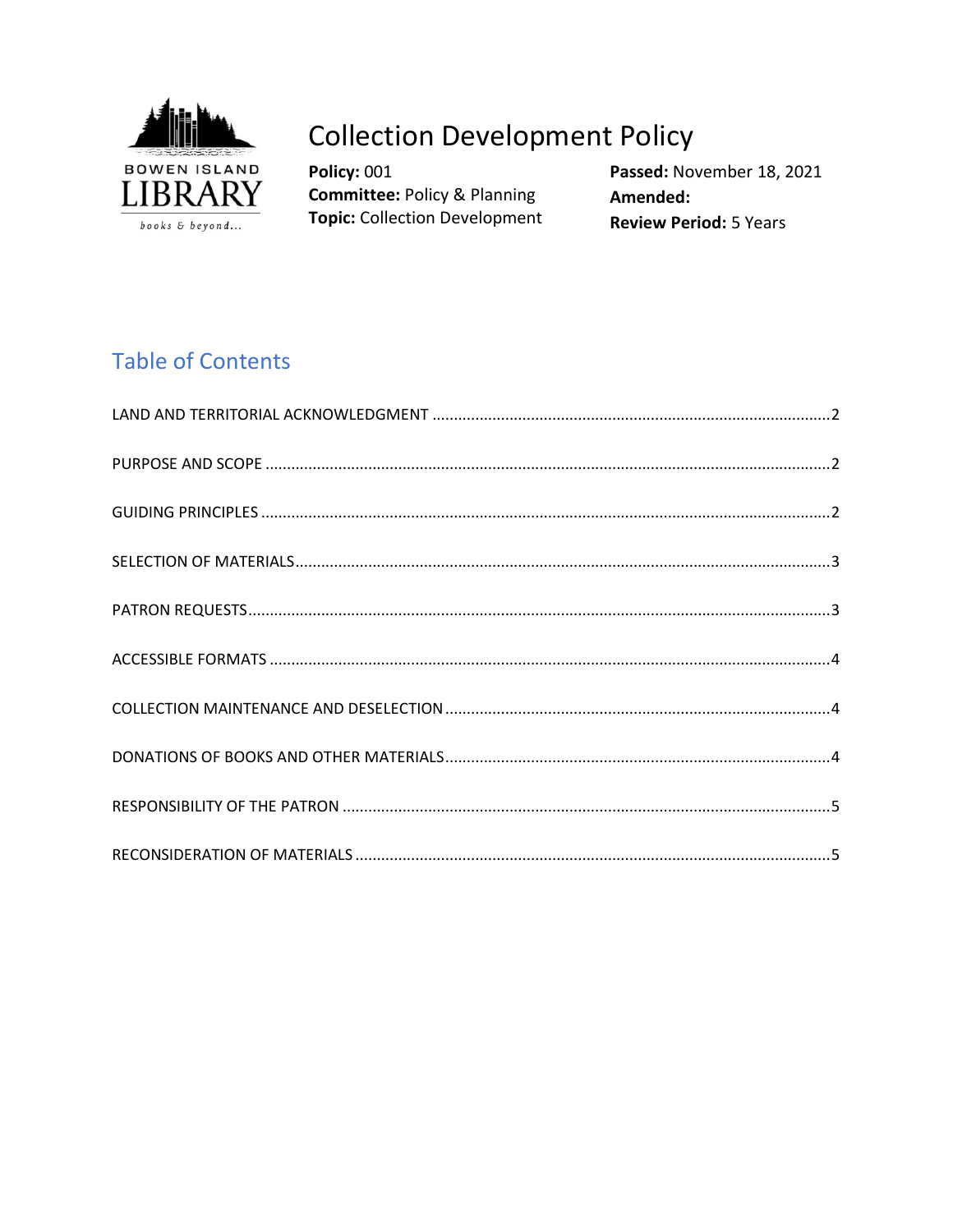

# **Collection Development Policy**

Policy: 001 **Committee: Policy & Planning Topic: Collection Development**  Passed: November 18, 2021 Amended: **Review Period: 5 Years** 

# **Table of Contents**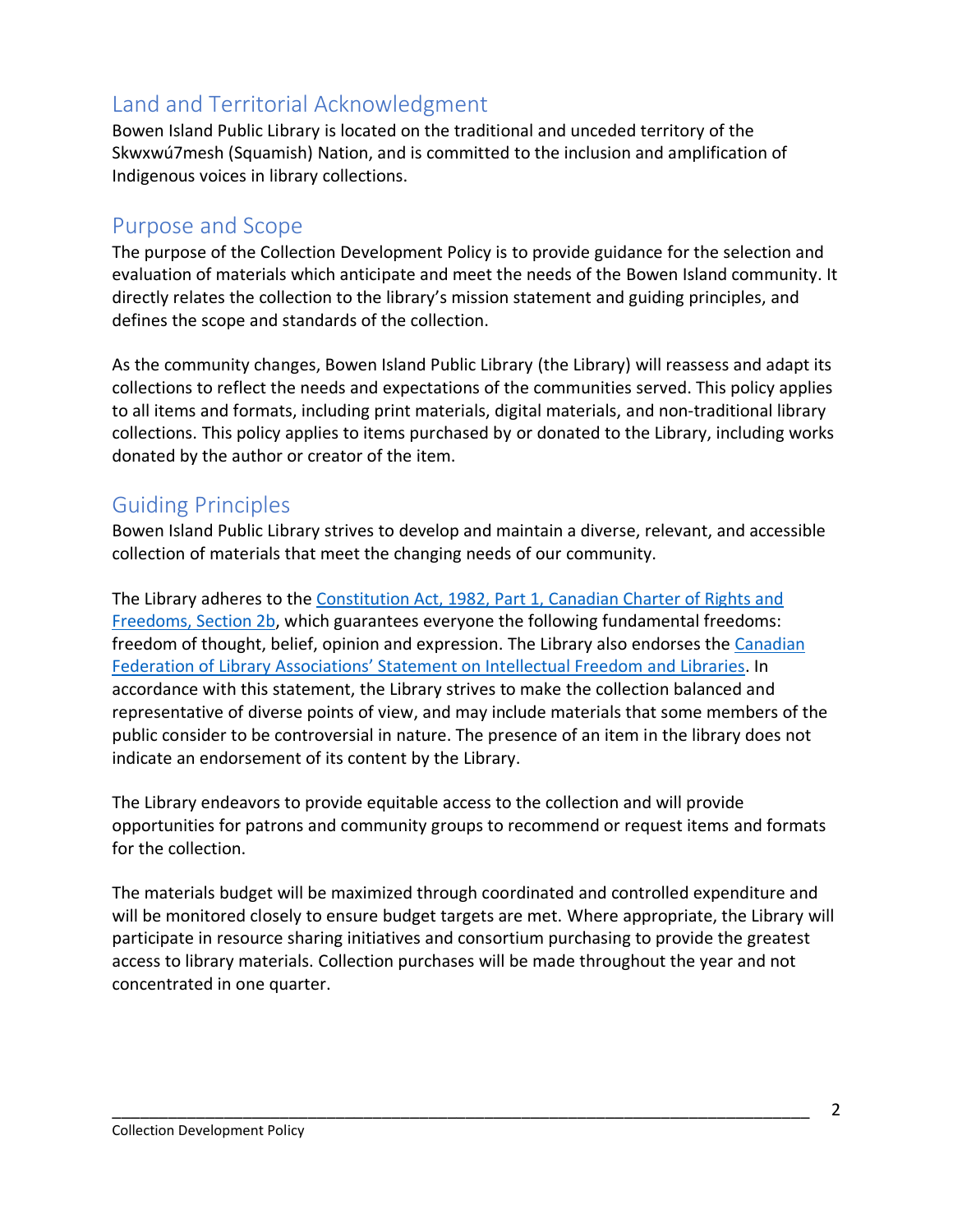# <span id="page-1-0"></span>Land and Territorial Acknowledgment

Bowen Island Public Library is located on the traditional and unceded territory of the Skwxwú7mesh (Squamish) Nation, and is committed to the inclusion and amplification of Indigenous voices in library collections.

## <span id="page-1-1"></span>Purpose and Scope

The purpose of the Collection Development Policy is to provide guidance for the selection and evaluation of materials which anticipate and meet the needs of the Bowen Island community. It directly relates the collection to the library's mission statement and guiding principles, and defines the scope and standards of the collection.

As the community changes, Bowen Island Public Library (the Library) will reassess and adapt its collections to reflect the needs and expectations of the communities served. This policy applies to all items and formats, including print materials, digital materials, and non-traditional library collections. This policy applies to items purchased by or donated to the Library, including works donated by the author or creator of the item.

## <span id="page-1-2"></span>Guiding Principles

Bowen Island Public Library strives to develop and maintain a diverse, relevant, and accessible collection of materials that meet the changing needs of our community.

The Library adheres to the [Constitution Act, 1982, Part 1, Canadian Charter of Rights and](https://laws-lois.justice.gc.ca/PDF/CONST_TRD.pdf)  [Freedoms, Section 2b,](https://laws-lois.justice.gc.ca/PDF/CONST_TRD.pdf) which guarantees everyone the following fundamental freedoms: freedom of thought, belief, opinion and expression. The Library also endorses the [Canadian](http://cfla-fcab.ca/en/guidelines-and-position-papers/statement-on-intellectual-freedom-and-libraries/)  [Federation of Library Associations' Statement on Intellectual Freedom](http://cfla-fcab.ca/en/guidelines-and-position-papers/statement-on-intellectual-freedom-and-libraries/) and Libraries. In accordance with this statement, the Library strives to make the collection balanced and representative of diverse points of view, and may include materials that some members of the public consider to be controversial in nature. The presence of an item in the library does not indicate an endorsement of its content by the Library.

The Library endeavors to provide equitable access to the collection and will provide opportunities for patrons and community groups to recommend or request items and formats for the collection.

The materials budget will be maximized through coordinated and controlled expenditure and will be monitored closely to ensure budget targets are met. Where appropriate, the Library will participate in resource sharing initiatives and consortium purchasing to provide the greatest access to library materials. Collection purchases will be made throughout the year and not concentrated in one quarter.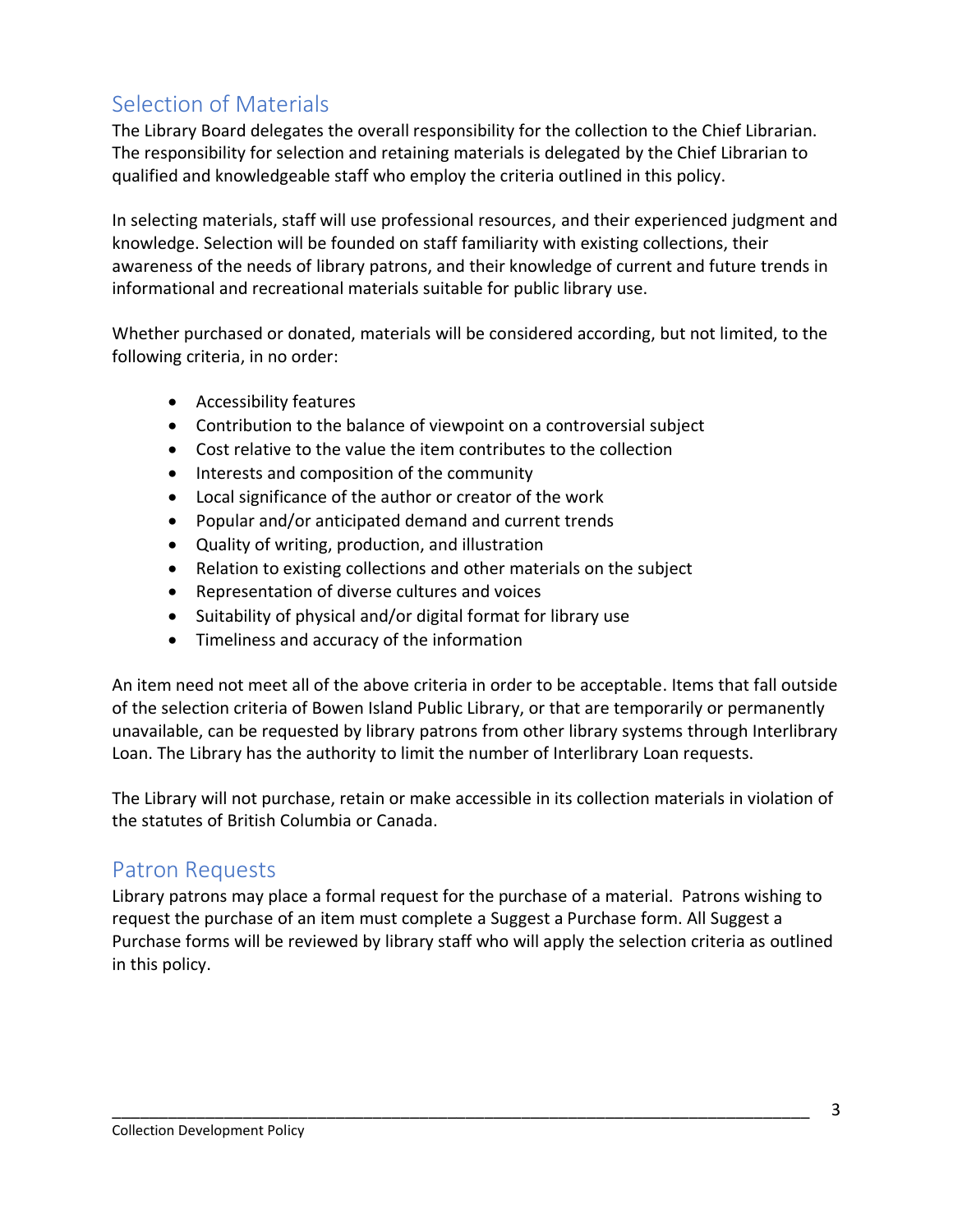# <span id="page-2-0"></span>Selection of Materials

The Library Board delegates the overall responsibility for the collection to the Chief Librarian. The responsibility for selection and retaining materials is delegated by the Chief Librarian to qualified and knowledgeable staff who employ the criteria outlined in this policy.

In selecting materials, staff will use professional resources, and their experienced judgment and knowledge. Selection will be founded on staff familiarity with existing collections, their awareness of the needs of library patrons, and their knowledge of current and future trends in informational and recreational materials suitable for public library use.

Whether purchased or donated, materials will be considered according, but not limited, to the following criteria, in no order:

- Accessibility features
- Contribution to the balance of viewpoint on a controversial subject
- Cost relative to the value the item contributes to the collection
- Interests and composition of the community
- Local significance of the author or creator of the work
- Popular and/or anticipated demand and current trends
- Quality of writing, production, and illustration
- Relation to existing collections and other materials on the subject
- Representation of diverse cultures and voices
- Suitability of physical and/or digital format for library use
- Timeliness and accuracy of the information

An item need not meet all of the above criteria in order to be acceptable. Items that fall outside of the selection criteria of Bowen Island Public Library, or that are temporarily or permanently unavailable, can be requested by library patrons from other library systems through Interlibrary Loan. The Library has the authority to limit the number of Interlibrary Loan requests.

The Library will not purchase, retain or make accessible in its collection materials in violation of the statutes of British Columbia or Canada.

#### <span id="page-2-1"></span>Patron Requests

Library patrons may place a formal request for the purchase of a material. Patrons wishing to request the purchase of an item must complete a Suggest a Purchase form. All Suggest a Purchase forms will be reviewed by library staff who will apply the selection criteria as outlined in this policy.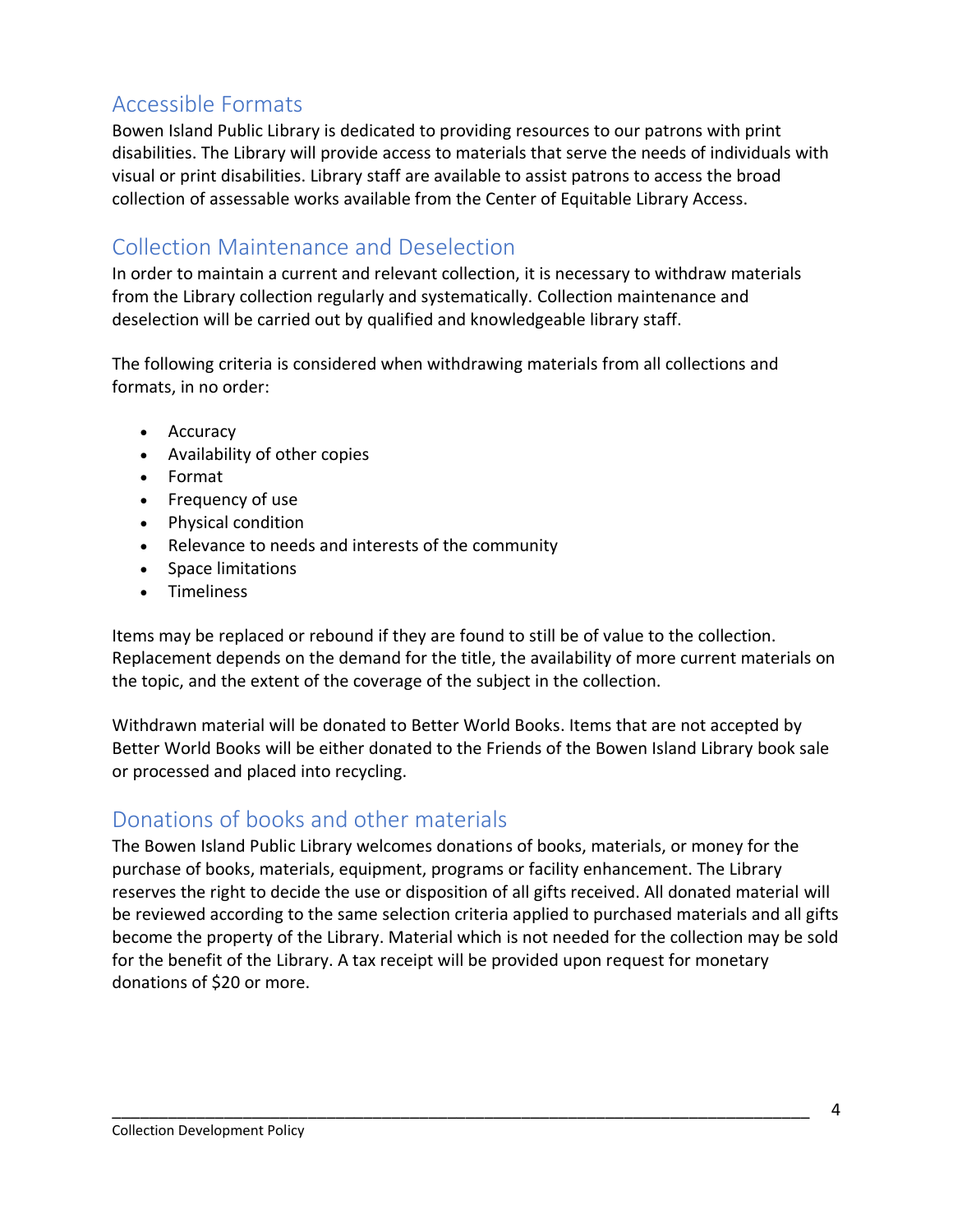# <span id="page-3-0"></span>Accessible Formats

Bowen Island Public Library is dedicated to providing resources to our patrons with print disabilities. The Library will provide access to materials that serve the needs of individuals with visual or print disabilities. Library staff are available to assist patrons to access the broad collection of assessable works available from the Center of Equitable Library Access.

## <span id="page-3-1"></span>Collection Maintenance and Deselection

In order to maintain a current and relevant collection, it is necessary to withdraw materials from the Library collection regularly and systematically. Collection maintenance and deselection will be carried out by qualified and knowledgeable library staff.

The following criteria is considered when withdrawing materials from all collections and formats, in no order:

- Accuracy
- Availability of other copies
- Format
- Frequency of use
- Physical condition
- Relevance to needs and interests of the community
- Space limitations
- Timeliness

Items may be replaced or rebound if they are found to still be of value to the collection. Replacement depends on the demand for the title, the availability of more current materials on the topic, and the extent of the coverage of the subject in the collection.

Withdrawn material will be donated to Better World Books. Items that are not accepted by Better World Books will be either donated to the Friends of the Bowen Island Library book sale or processed and placed into recycling.

## <span id="page-3-2"></span>Donations of books and other materials

The Bowen Island Public Library welcomes donations of books, materials, or money for the purchase of books, materials, equipment, programs or facility enhancement. The Library reserves the right to decide the use or disposition of all gifts received. All donated material will be reviewed according to the same selection criteria applied to purchased materials and all gifts become the property of the Library. Material which is not needed for the collection may be sold for the benefit of the Library. A tax receipt will be provided upon request for monetary donations of \$20 or more.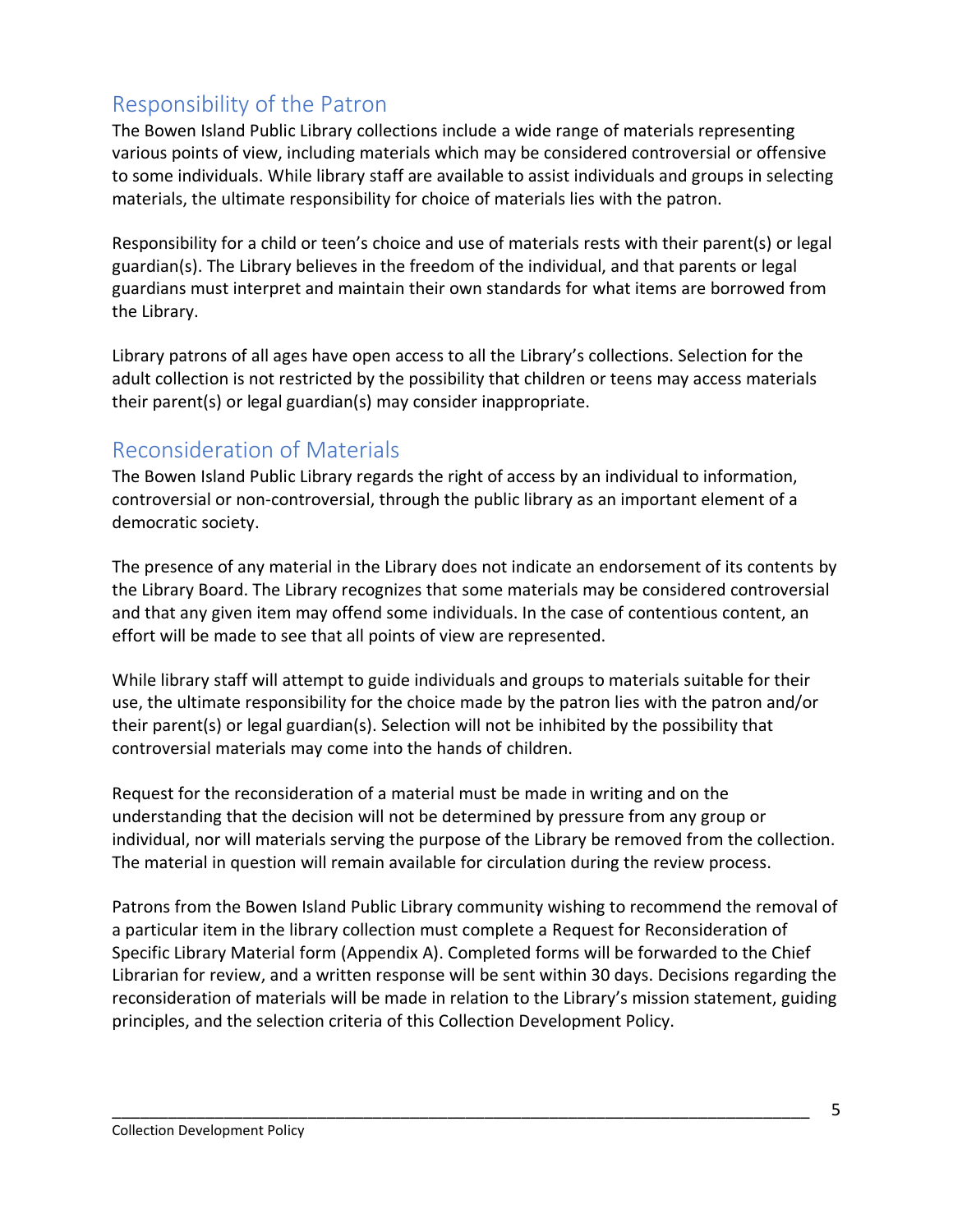## <span id="page-4-0"></span>Responsibility of the Patron

The Bowen Island Public Library collections include a wide range of materials representing various points of view, including materials which may be considered controversial or offensive to some individuals. While library staff are available to assist individuals and groups in selecting materials, the ultimate responsibility for choice of materials lies with the patron.

Responsibility for a child or teen's choice and use of materials rests with their parent(s) or legal guardian(s). The Library believes in the freedom of the individual, and that parents or legal guardians must interpret and maintain their own standards for what items are borrowed from the Library.

Library patrons of all ages have open access to all the Library's collections. Selection for the adult collection is not restricted by the possibility that children or teens may access materials their parent(s) or legal guardian(s) may consider inappropriate.

## <span id="page-4-1"></span>Reconsideration of Materials

The Bowen Island Public Library regards the right of access by an individual to information, controversial or non-controversial, through the public library as an important element of a democratic society.

The presence of any material in the Library does not indicate an endorsement of its contents by the Library Board. The Library recognizes that some materials may be considered controversial and that any given item may offend some individuals. In the case of contentious content, an effort will be made to see that all points of view are represented.

While library staff will attempt to guide individuals and groups to materials suitable for their use, the ultimate responsibility for the choice made by the patron lies with the patron and/or their parent(s) or legal guardian(s). Selection will not be inhibited by the possibility that controversial materials may come into the hands of children.

Request for the reconsideration of a material must be made in writing and on the understanding that the decision will not be determined by pressure from any group or individual, nor will materials serving the purpose of the Library be removed from the collection. The material in question will remain available for circulation during the review process.

Patrons from the Bowen Island Public Library community wishing to recommend the removal of a particular item in the library collection must complete a Request for Reconsideration of Specific Library Material form (Appendix A). Completed forms will be forwarded to the Chief Librarian for review, and a written response will be sent within 30 days. Decisions regarding the reconsideration of materials will be made in relation to the Library's mission statement, guiding principles, and the selection criteria of this Collection Development Policy.